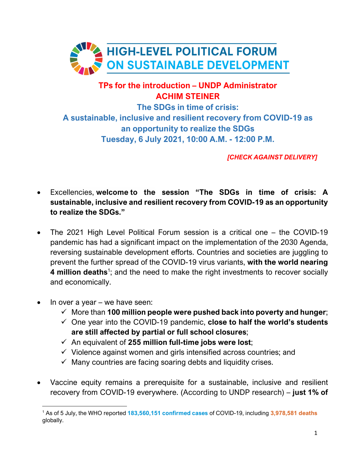

## **TPs for the introduction – UNDP Administrator ACHIM STEINER**

**The SDGs in time of crisis: A sustainable, inclusive and resilient recovery from COVID-19 as an opportunity to realize the SDGs Tuesday, 6 July 2021, 10:00 A.M. - 12:00 P.M.** 

*[CHECK AGAINST DELIVERY]* 

- Excellencies, **welcome to the session "The SDGs in time of crisis: A sustainable, inclusive and resilient recovery from COVID-19 as an opportunity to realize the SDGs."**
- The 2021 High Level Political Forum session is a critical one the COVID-19 pandemic has had a significant impact on the implementation of the 2030 Agenda, reversing sustainable development efforts. Countries and societies are juggling to prevent the further spread of the COVID-19 virus variants, **with the world nearing 4 million deaths**<sup>1</sup>; and the need to make the right investments to recover socially and economically.
- $\bullet$  In over a year we have seen:
	- More than **100 million people were pushed back into poverty and hunger**;
	- One year into the COVID-19 pandemic, **close to half the world's students are still affected by partial or full school closures**;
	- $\checkmark$  An equivalent of 255 million full-time jobs were lost;
	- $\checkmark$  Violence against women and girls intensified across countries; and
	- $\checkmark$  Many countries are facing soaring debts and liquidity crises.
- Vaccine equity remains a prerequisite for a sustainable, inclusive and resilient recovery from COVID-19 everywhere. (According to UNDP research) – **just 1% of**

<sup>1</sup> As of 5 July, the WHO reported **183,560,151 confirmed cases** of COVID-19, including **3,978,581 deaths**  globally.